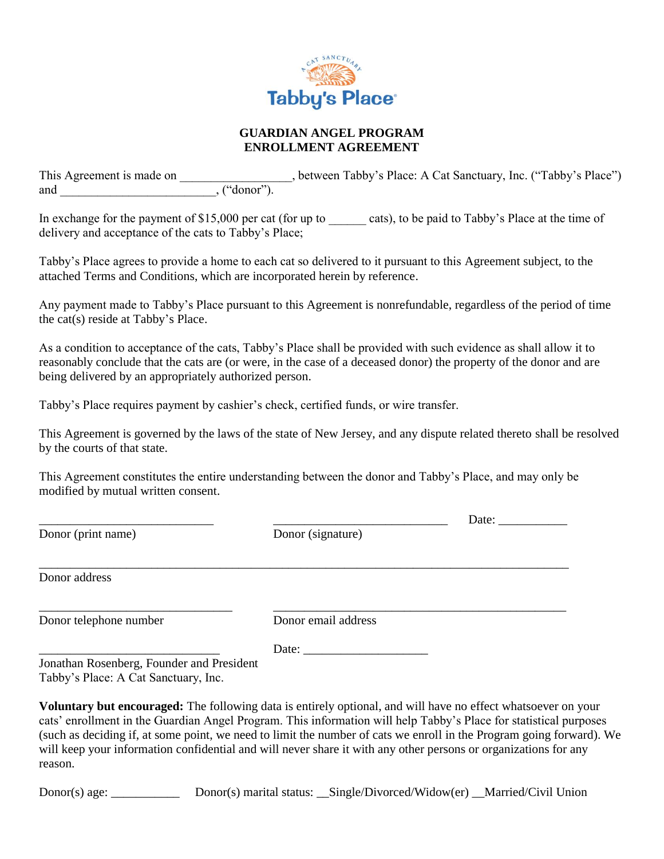

## **GUARDIAN ANGEL PROGRAM ENROLLMENT AGREEMENT**

This Agreement is made on  $\qquad \qquad$ , between Tabby's Place: A Cat Sanctuary, Inc. ("Tabby's Place") and  $,$  ("donor").

In exchange for the payment of \$15,000 per cat (for up to \_\_\_\_\_\_ cats), to be paid to Tabby's Place at the time of delivery and acceptance of the cats to Tabby's Place;

Tabby's Place agrees to provide a home to each cat so delivered to it pursuant to this Agreement subject, to the attached Terms and Conditions, which are incorporated herein by reference.

Any payment made to Tabby's Place pursuant to this Agreement is nonrefundable, regardless of the period of time the cat(s) reside at Tabby's Place.

As a condition to acceptance of the cats, Tabby's Place shall be provided with such evidence as shall allow it to reasonably conclude that the cats are (or were, in the case of a deceased donor) the property of the donor and are being delivered by an appropriately authorized person.

Tabby's Place requires payment by cashier's check, certified funds, or wire transfer.

This Agreement is governed by the laws of the state of New Jersey, and any dispute related thereto shall be resolved by the courts of that state.

This Agreement constitutes the entire understanding between the donor and Tabby's Place, and may only be modified by mutual written consent.

|                                           |                     | Date: |
|-------------------------------------------|---------------------|-------|
| Donor (print name)                        | Donor (signature)   |       |
| Donor address                             |                     |       |
| Donor telephone number                    | Donor email address |       |
| Jonathan Rosenberg, Founder and President |                     |       |

Tabby's Place: A Cat Sanctuary, Inc.

**Voluntary but encouraged:** The following data is entirely optional, and will have no effect whatsoever on your cats' enrollment in the Guardian Angel Program. This information will help Tabby's Place for statistical purposes (such as deciding if, at some point, we need to limit the number of cats we enroll in the Program going forward). We will keep your information confidential and will never share it with any other persons or organizations for any reason.

Donor(s) age: \_\_\_\_\_\_\_\_\_\_\_\_\_\_\_\_ Donor(s) marital status: \_\_Single/Divorced/Widow(er) \_\_Married/Civil Union